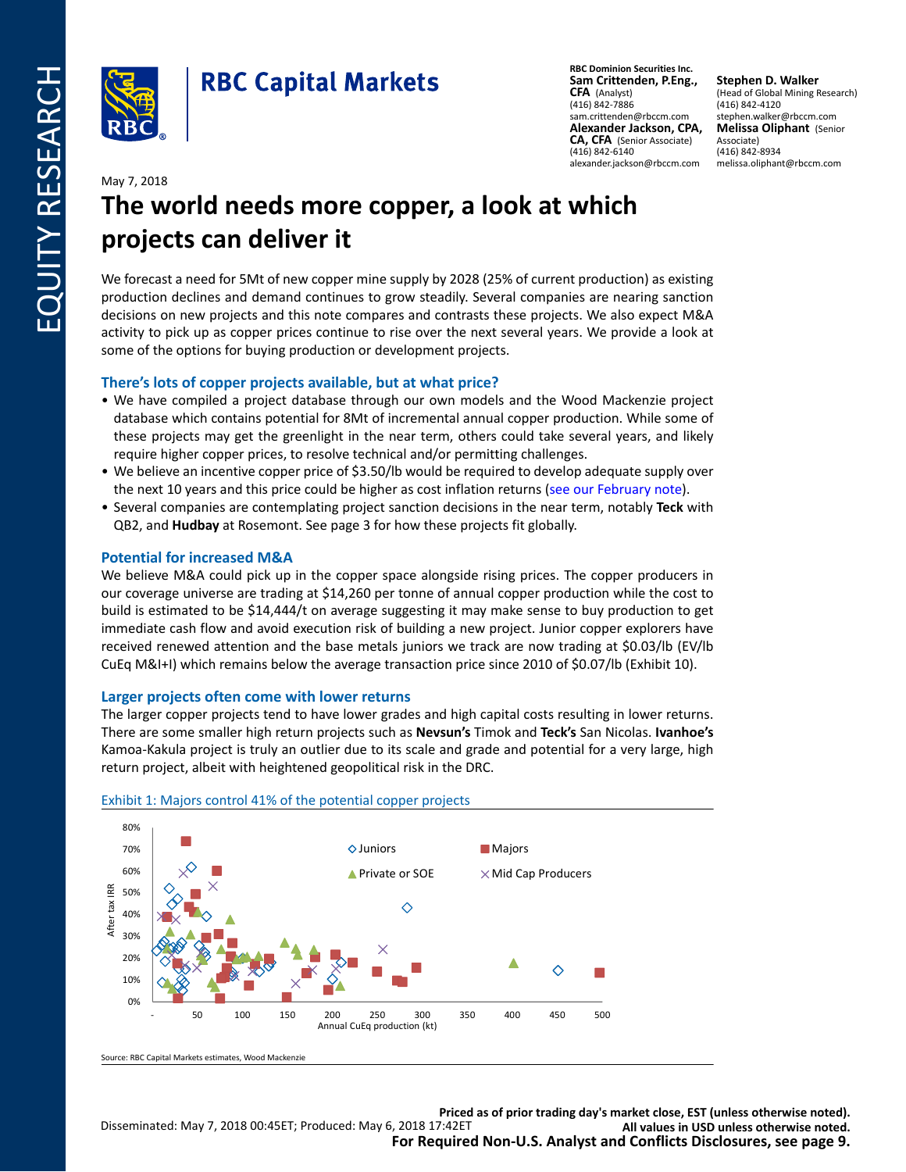

**RBC Dominion Securities Inc. Sam Crittenden, P.Eng., CFA** (Analyst) (416) 842-7886 sam.crittenden@rbccm.com **Alexander Jackson, CPA, CA, CFA** (Senior Associate) (416) 842-6140 alexander.jackson@rbccm.com

**Stephen D. Walker** (Head of Global Mining Research) (416) 842-4120 stephen.walker@rbccm.com **Melissa Oliphant** (Senior Associate) (416) 842-8934 melissa.oliphant@rbccm.com

### May 7, 2018

# **The world needs more copper, a look at which projects can deliver it**

We forecast a need for 5Mt of new copper mine supply by 2028 (25% of current production) as existing production declines and demand continues to grow steadily. Several companies are nearing sanction decisions on new projects and this note compares and contrasts these projects. We also expect M&A activity to pick up as copper prices continue to rise over the next several years. We provide a look at some of the options for buying production or development projects.

### **There's lots of copper projects available, but at what price?**

- We have compiled a project database through our own models and the Wood Mackenzie project database which contains potential for 8Mt of incremental annual copper production. While some of these projects may get the greenlight in the near term, others could take several years, and likely require higher copper prices, to resolve technical and/or permitting challenges.
- We believe an incentive copper price of \$3.50/lb would be required to develop adequate supply over the next 10 years and this price could be higher as cost inflation returns [\(see our February note](https://www.rbcinsightresearch.com/ui/main/report/910ee82c-b85a-4d4f-9e6f-ecd5a6bb232c/2/eUhublE1c2U5bkh6TkluMDF2SlZ1RVljTXlJV2NJSEJWZ2hPZlZua0V6bz0%3D)).
- Several companies are contemplating project sanction decisions in the near term, notably **Teck** with QB2, and **Hudbay** at Rosemont. See page 3 for how these projects fit globally.

### **Potential for increased M&A**

We believe M&A could pick up in the copper space alongside rising prices. The copper producers in our coverage universe are trading at \$14,260 per tonne of annual copper production while the cost to build is estimated to be \$14,444/t on average suggesting it may make sense to buy production to get immediate cash flow and avoid execution risk of building a new project. Junior copper explorers have received renewed attention and the base metals juniors we track are now trading at \$0.03/lb (EV/lb CuEq M&I+I) which remains below the average transaction price since 2010 of \$0.07/lb (Exhibit 10).

### **Larger projects often come with lower returns**

The larger copper projects tend to have lower grades and high capital costs resulting in lower returns. There are some smaller high return projects such as **Nevsun's** Timok and **Teck's** San Nicolas. **Ivanhoe's** Kamoa-Kakula project is truly an outlier due to its scale and grade and potential for a very large, high return project, albeit with heightened geopolitical risk in the DRC.



### Exhibit 1: Majors control 41% of the potential copper projects

Source: RBC Capital Markets estimates, Wood Mackenzie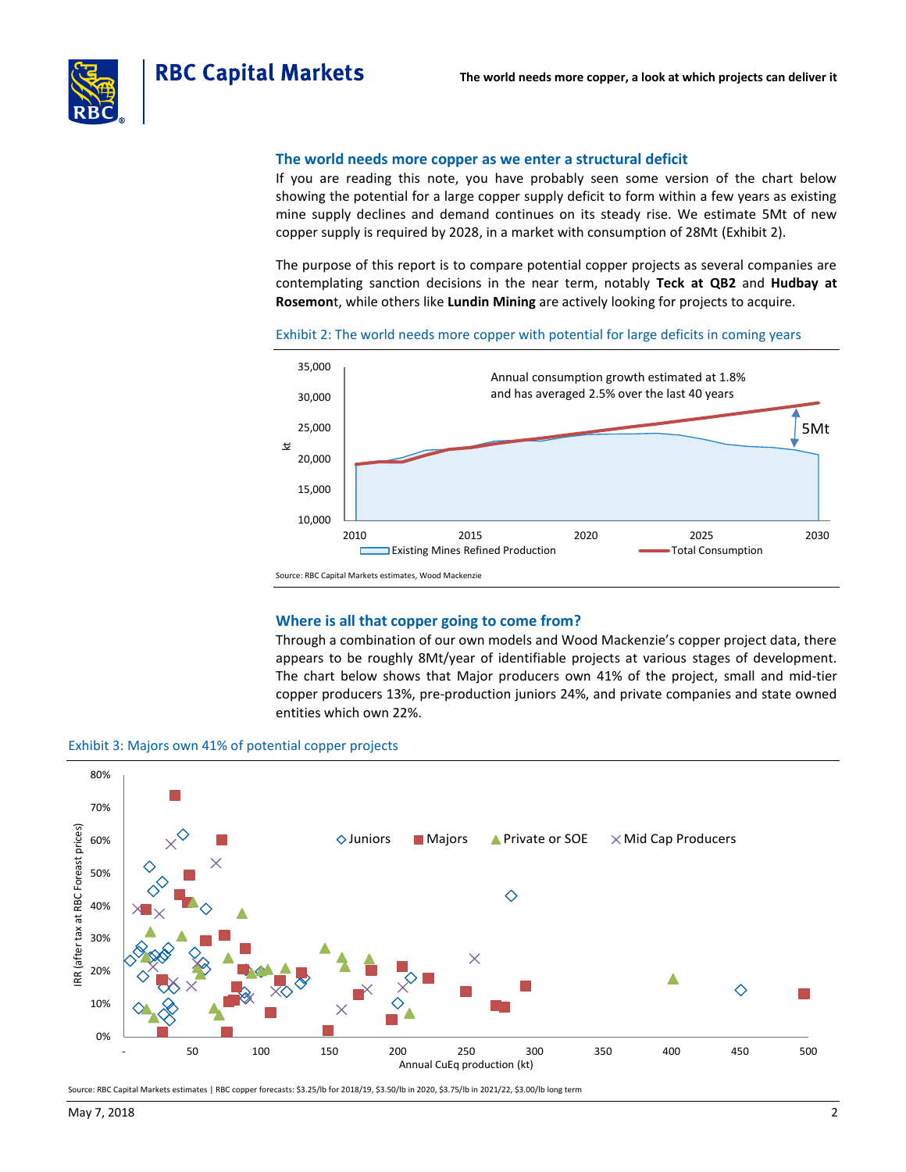

#### **The world needs more copper as we enter a structural deficit**

If you are reading this note, you have probably seen some version of the chart below showing the potential for a large copper supply deficit to form within a few years as existing mine supply declines and demand continues on its steady rise. We estimate 5Mt of new copper supply is required by 2028, in a market with consumption of 28Mt (Exhibit 2).

The purpose of this report is to compare potential copper projects as several companies are contemplating sanction decisions in the near term, notably **Teck at QB2** and **Hudbay at Rosemon**t, while others like **Lundin Mining** are actively looking for projects to acquire.

Exhibit 2: The world needs more copper with potential for large deficits in coming years



#### **Where is all that copper going to come from?**

Through a combination of our own models and Wood Mackenzie's copper project data, there appears to be roughly 8Mt/year of identifiable projects at various stages of development. The chart below shows that Major producers own 41% of the project, small and mid-tier copper producers 13%, pre-production juniors 24%, and private companies and state owned entities which own 22%.





Source: RBC Capital Markets estimates | RBC copper forecasts: \$3.25/lb for 2018/19, \$3.50/lb in 2020, \$3.75/lb in 2021/22, \$3.00/lb long term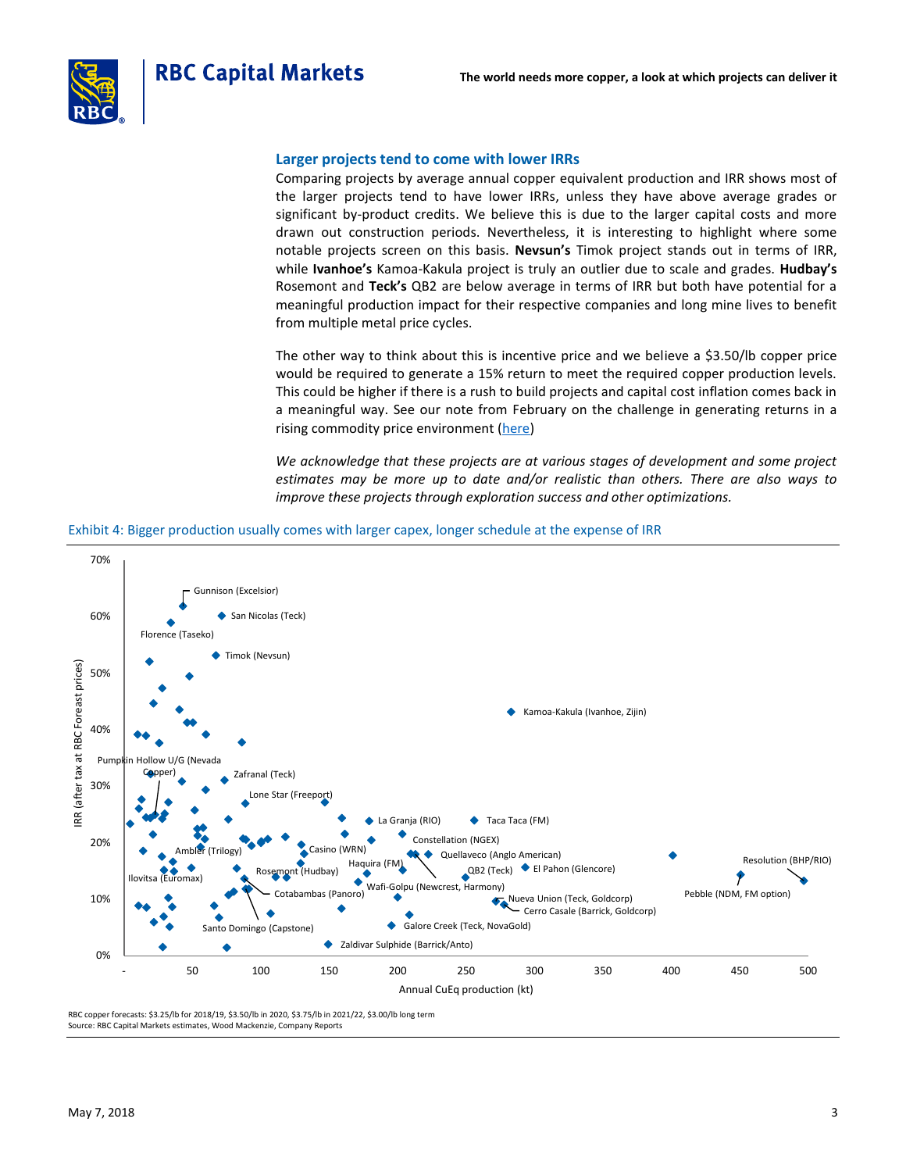

#### **Larger projects tend to come with lower IRRs**

Comparing projects by average annual copper equivalent production and IRR shows most of the larger projects tend to have lower IRRs, unless they have above average grades or significant by-product credits. We believe this is due to the larger capital costs and more drawn out construction periods. Nevertheless, it is interesting to highlight where some notable projects screen on this basis. **Nevsun's** Timok project stands out in terms of IRR, while **Ivanhoe's** Kamoa-Kakula project is truly an outlier due to scale and grades. **Hudbay's** Rosemont and **Teck's** QB2 are below average in terms of IRR but both have potential for a meaningful production impact for their respective companies and long mine lives to benefit from multiple metal price cycles.

The other way to think about this is incentive price and we believe a \$3.50/lb copper price would be required to generate a 15% return to meet the required copper production levels. This could be higher if there is a rush to build projects and capital cost inflation comes back in a meaningful way. See our note from February on the challenge in generating returns in a rising commodity price environment [\(here\)](https://www.rbcinsightresearch.com/ui/main/report/910ee82c-b85a-4d4f-9e6f-ecd5a6bb232c/2/eUhublE1c2U5bkh6TkluMDF2SlZ1RVljTXlJV2NJSEJWZ2hPZlZua0V6bz0%3D)

*We acknowledge that these projects are at various stages of development and some project estimates may be more up to date and/or realistic than others. There are also ways to improve these projects through exploration success and other optimizations.*

#### Exhibit 4: Bigger production usually comes with larger capex, longer schedule at the expense of IRR



RBC copper forecasts: \$3.25/lb for 2018/19, \$3.50/lb in 2020, \$3.75/lb in 2021/22, \$3.00/lb long term Source: RBC Capital Markets estimates, Wood Mackenzie, Company Reports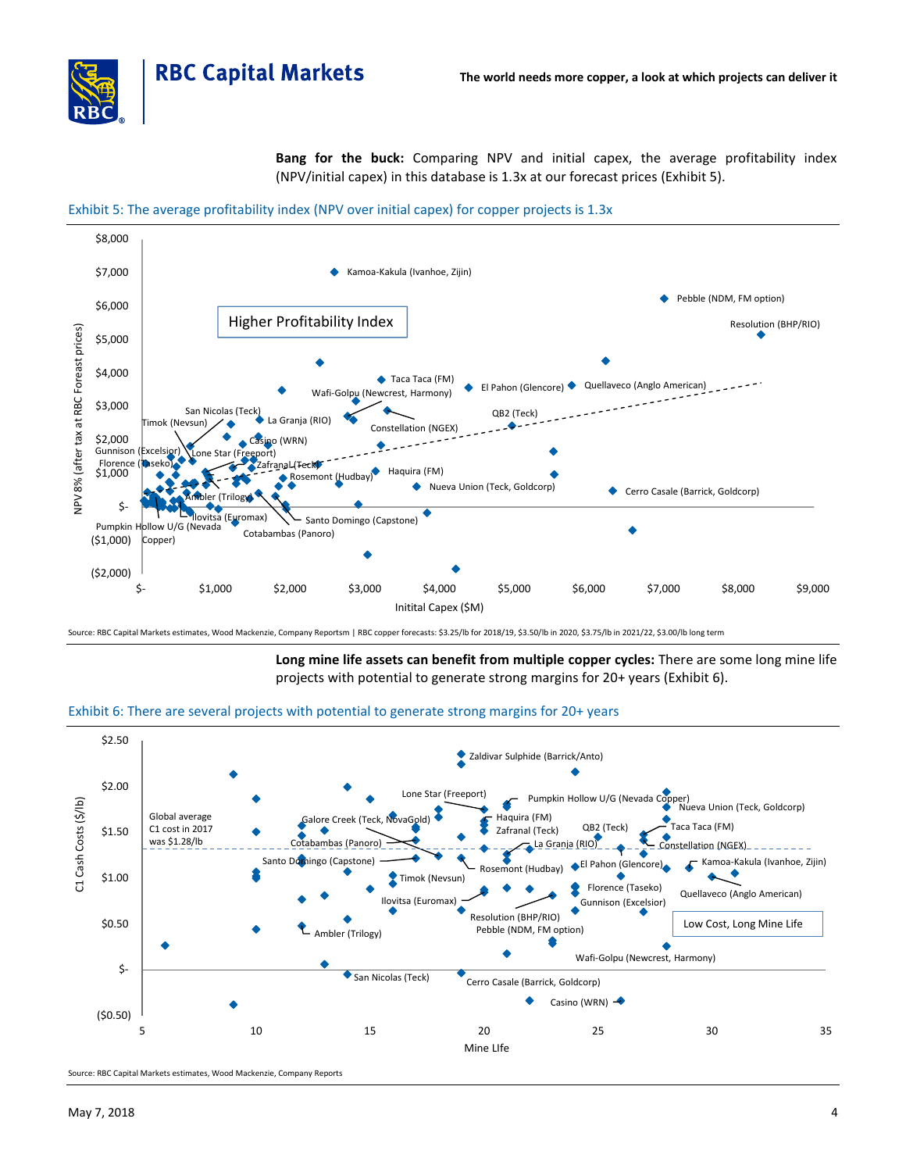

**Bang for the buck:** Comparing NPV and initial capex, the average profitability index (NPV/initial capex) in this database is 1.3x at our forecast prices (Exhibit 5).





Source: RBC Capital Markets estimates, Wood Mackenzie, Company Reportsm | RBC copper forecasts: \$3.25/lb for 2018/19, \$3.50/lb in 2020, \$3.75/lb in 2021/22, \$3.00/lb long term

**Long mine life assets can benefit from multiple copper cycles:** There are some long mine life projects with potential to generate strong margins for 20+ years (Exhibit 6).





Source: RBC Capital Markets estimates, Wood Mackenzie, Company Reports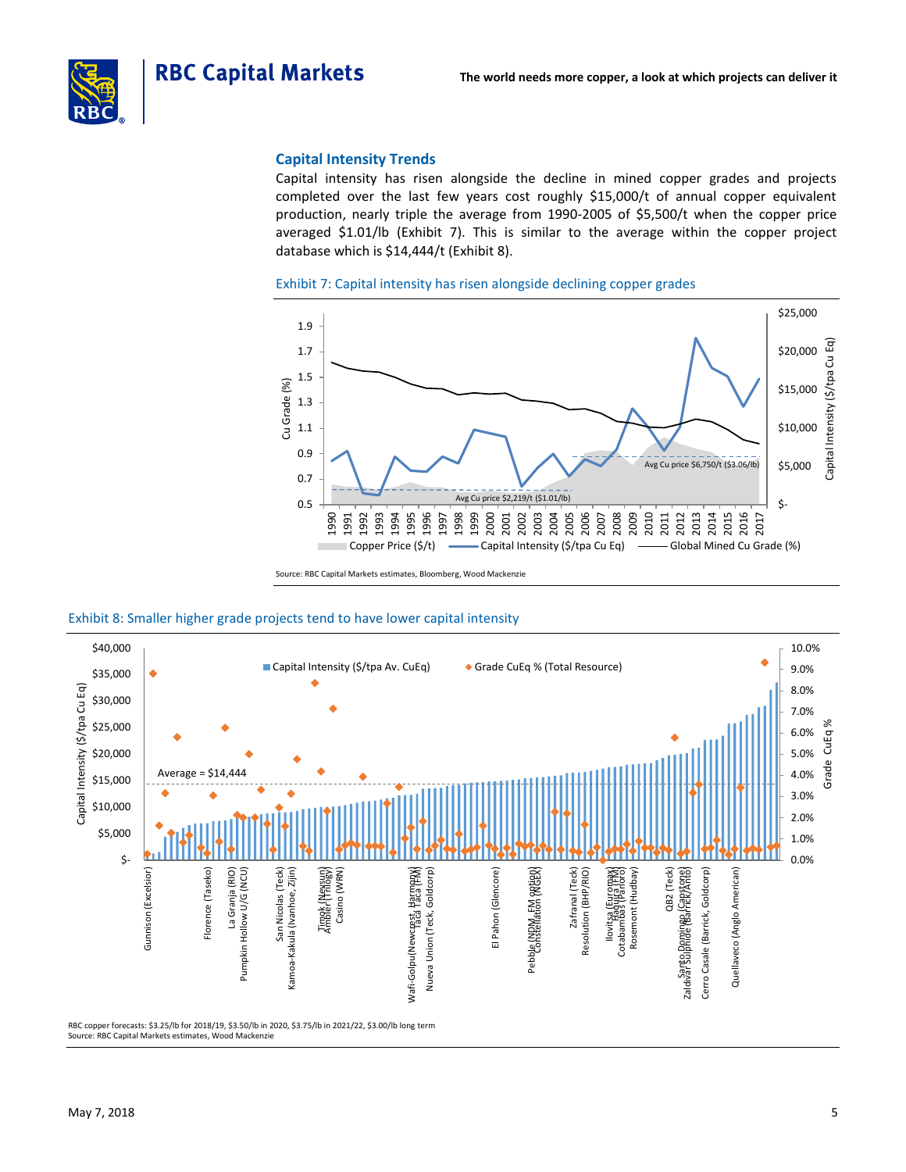



### **Capital Intensity Trends**

Capital intensity has risen alongside the decline in mined copper grades and projects completed over the last few years cost roughly \$15,000/t of annual copper equivalent production, nearly triple the average from 1990-2005 of \$5,500/t when the copper price averaged \$1.01/lb (Exhibit 7). This is similar to the average within the copper project database which is \$14,444/t (Exhibit 8).





Source: RBC Capital Markets estimates, Bloomberg, Wood Mackenzie

#### Exhibit 8: Smaller higher grade projects tend to have lower capital intensity



RBC copper forecasts: \$3.25/lb for 2018/19, \$3.50/lb in 2020, \$3.75/lb in 2021/22, \$3.00/lb long term Source: RBC Capital Markets estimates, Wood Mackenzie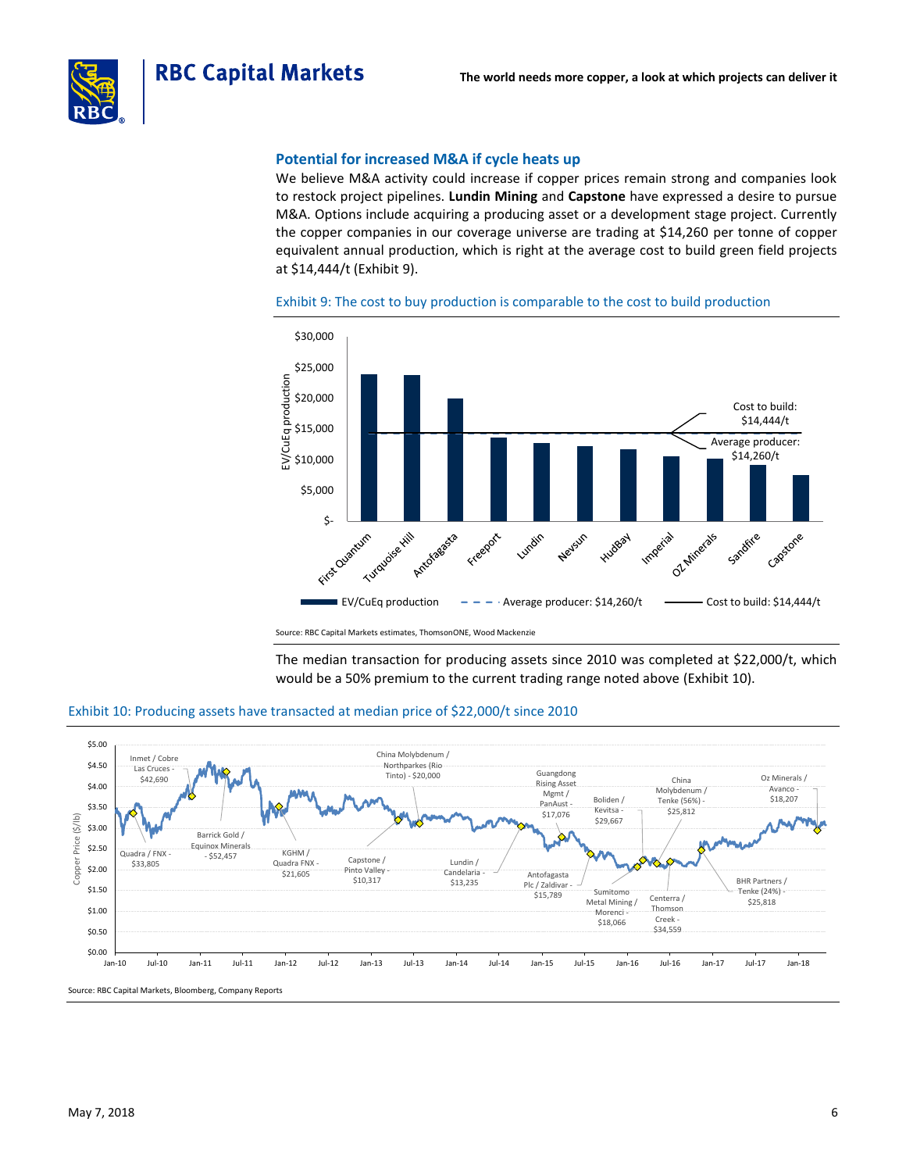

#### **Potential for increased M&A if cycle heats up**

We believe M&A activity could increase if copper prices remain strong and companies look to restock project pipelines. **Lundin Mining** and **Capstone** have expressed a desire to pursue M&A. Options include acquiring a producing asset or a development stage project. Currently the copper companies in our coverage universe are trading at \$14,260 per tonne of copper equivalent annual production, which is right at the average cost to build green field projects at \$14,444/t (Exhibit 9).



Exhibit 9: The cost to buy production is comparable to the cost to build production

Source: RBC Capital Markets estimates, ThomsonONE, Wood Mackenzie

The median transaction for producing assets since 2010 was completed at \$22,000/t, which would be a 50% premium to the current trading range noted above (Exhibit 10).



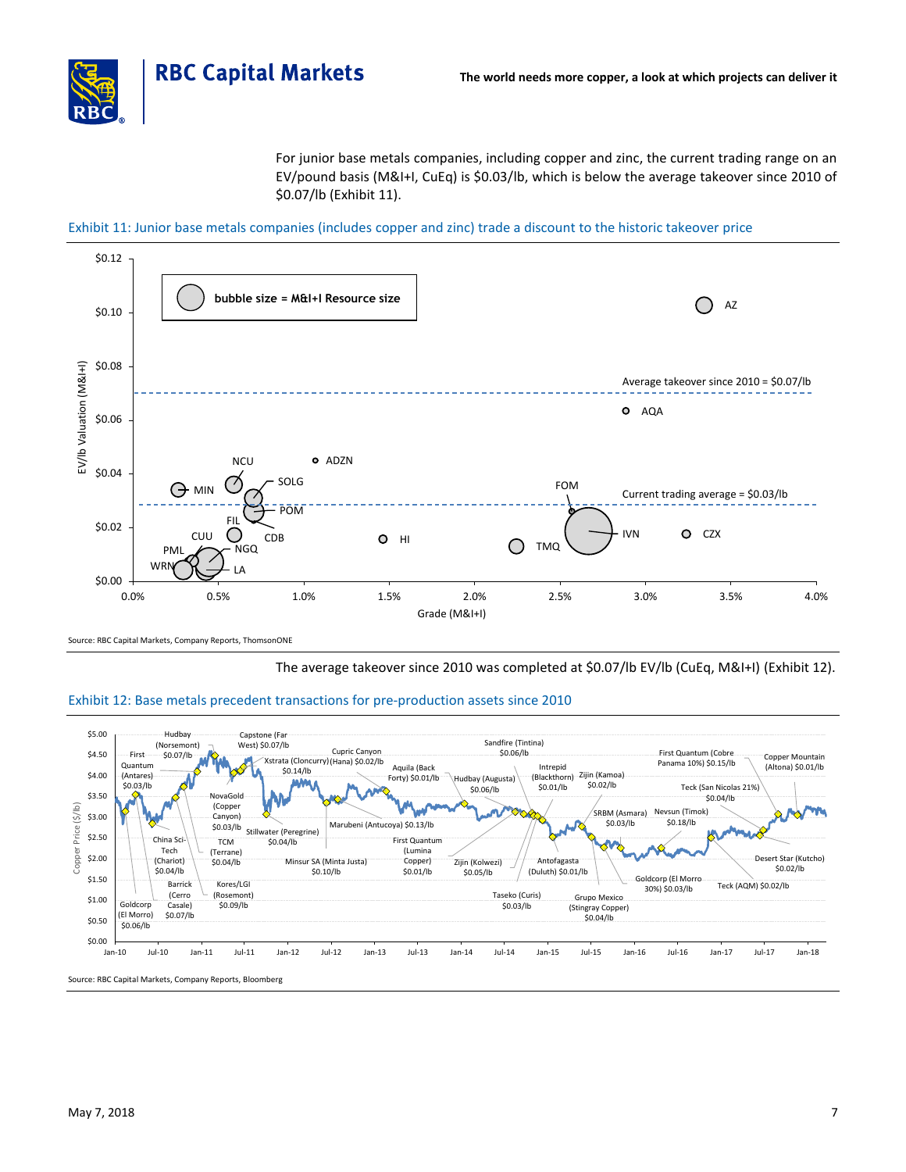

For junior base metals companies, including copper and zinc, the current trading range on an EV/pound basis (M&I+I, CuEq) is \$0.03/lb, which is below the average takeover since 2010 of \$0.07/lb (Exhibit 11).

Exhibit 11: Junior base metals companies (includes copper and zinc) trade a discount to the historic takeover price



Source: RBC Capital Markets, Company Reports, ThomsonONE

The average takeover since 2010 was completed at \$0.07/lb EV/lb (CuEq, M&I+I) (Exhibit 12).

### Exhibit 12: Base metals precedent transactions for pre-production assets since 2010

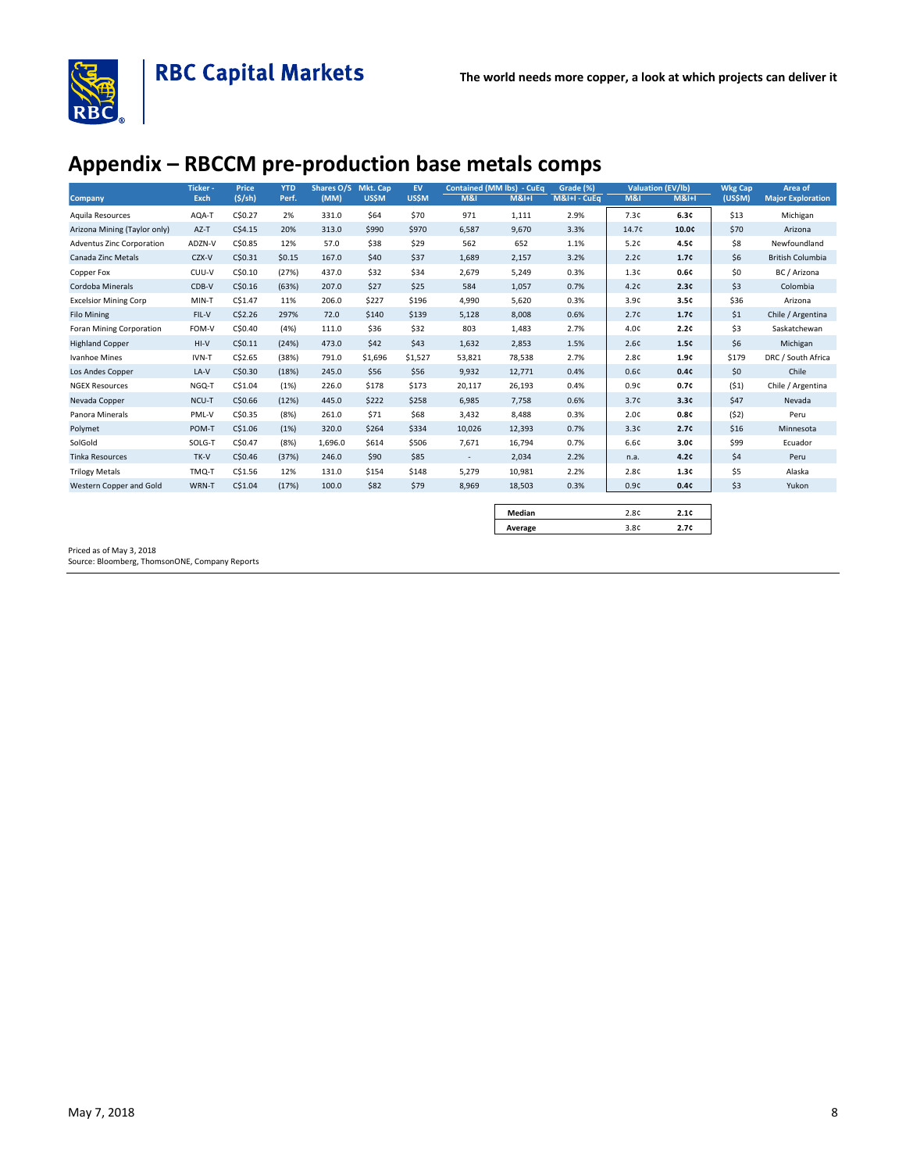

# **Appendix – RBCCM pre-production base metals comps**

| Company                          | Ticker -<br>Exch | <b>Price</b><br>(5/sh) | <b>YTD</b><br>Perf. | Shares O/S<br>(MM) | Mkt. Cap<br><b>US\$M</b> | <b>EV</b><br><b>US\$M</b> | <b>M&amp;I</b> | <b>Contained (MM lbs) - CuEq</b><br>M&H | Grade (%)<br>M&I+I - CuEq | <b>M&amp;I</b> | <b>Valuation (EV/lb)</b><br>M&H | <b>Wkg Cap</b><br>(US\$M) | Area of<br><b>Major Exploration</b> |
|----------------------------------|------------------|------------------------|---------------------|--------------------|--------------------------|---------------------------|----------------|-----------------------------------------|---------------------------|----------------|---------------------------------|---------------------------|-------------------------------------|
| Aquila Resources                 | AQA-T            | C\$0.27                | 2%                  | 331.0              | \$64                     | \$70                      | 971            | 1,111                                   | 2.9%                      | 7.3c           | 6.3c                            | \$13                      | Michigan                            |
| Arizona Mining (Taylor only)     | $AZ-T$           | C\$4.15                | 20%                 | 313.0              | \$990                    | \$970                     | 6,587          | 9,670                                   | 3.3%                      | 14.7¢          | 10.0¢                           | \$70                      | Arizona                             |
| <b>Adventus Zinc Corporation</b> | ADZN-V           | C\$0.85                | 12%                 | 57.0               | \$38                     | \$29                      | 562            | 652                                     | 1.1%                      | 5.2c           | 4.5c                            | \$8                       | Newfoundland                        |
| Canada Zinc Metals               | CZX-V            | C\$0.31                | \$0.15              | 167.0              | \$40                     | \$37                      | 1,689          | 2,157                                   | 3.2%                      | 2.2c           | 1.7c                            | \$6                       | <b>British Columbia</b>             |
| Copper Fox                       | CUU-V            | C\$0.10                | (27%)               | 437.0              | \$32                     | \$34                      | 2,679          | 5,249                                   | 0.3%                      | 1.3c           | 0.6c                            | \$0                       | BC / Arizona                        |
| Cordoba Minerals                 | CDB-V            | C\$0.16                | (63%)               | 207.0              | \$27                     | \$25                      | 584            | 1,057                                   | 0.7%                      | 4.2c           | 2.3c                            | \$3                       | Colombia                            |
| <b>Excelsior Mining Corp</b>     | MIN-T            | C\$1.47                | 11%                 | 206.0              | \$227                    | \$196                     | 4,990          | 5,620                                   | 0.3%                      | 3.9c           | 3.5c                            | \$36                      | Arizona                             |
| <b>Filo Mining</b>               | FIL-V            | C\$2.26                | 297%                | 72.0               | \$140                    | \$139                     | 5,128          | 8,008                                   | 0.6%                      | 2.7c           | 1.7c                            | \$1                       | Chile / Argentina                   |
| Foran Mining Corporation         | FOM-V            | C\$0.40                | (4%)                | 111.0              | \$36                     | \$32                      | 803            | 1,483                                   | 2.7%                      | 4.0c           | 2.2c                            | \$3                       | Saskatchewan                        |
| <b>Highland Copper</b>           | $HI-V$           | C\$0.11                | (24%)               | 473.0              | \$42                     | \$43                      | 1,632          | 2,853                                   | 1.5%                      | 2.6c           | 1.5c                            | \$6                       | Michigan                            |
| Ivanhoe Mines                    | IVN-T            | C\$2.65                | (38%)               | 791.0              | \$1,696                  | \$1,527                   | 53,821         | 78,538                                  | 2.7%                      | 2.8c           | 1.9c                            | \$179                     | DRC / South Africa                  |
| Los Andes Copper                 | LA-V             | C\$0.30                | (18%)               | 245.0              | \$56                     | \$56                      | 9,932          | 12,771                                  | 0.4%                      | 0.6c           | 0.4c                            | \$0                       | Chile                               |
| <b>NGEX Resources</b>            | NGQ-T            | C\$1.04                | (1%)                | 226.0              | \$178                    | \$173                     | 20,117         | 26,193                                  | 0.4%                      | 0.9c           | 0.7c                            | (51)                      | Chile / Argentina                   |
| Nevada Copper                    | NCU-T            | C\$0.66                | (12%)               | 445.0              | \$222                    | \$258                     | 6,985          | 7,758                                   | 0.6%                      | 3.7c           | 3.3c                            | \$47                      | Nevada                              |
| Panora Minerals                  | PML-V            | C\$0.35                | (8%)                | 261.0              | \$71                     | \$68                      | 3,432          | 8,488                                   | 0.3%                      | 2.0c           | 0.8c                            | (52)                      | Peru                                |
| Polymet                          | POM-T            | C\$1.06                | (1%)                | 320.0              | \$264                    | \$334                     | 10,026         | 12,393                                  | 0.7%                      | 3.3c           | 2.7c                            | \$16                      | Minnesota                           |
| SolGold                          | SOLG-T           | C\$0.47                | (8%)                | 1,696.0            | \$614                    | \$506                     | 7,671          | 16,794                                  | 0.7%                      | 6.6¢           | 3.0 <sub>c</sub>                | \$99                      | Ecuador                             |
| <b>Tinka Resources</b>           | TK-V             | C\$0.46                | (37%)               | 246.0              | \$90                     | \$85                      | $\sim$         | 2,034                                   | 2.2%                      | n.a.           | 4.2c                            | \$4                       | Peru                                |
| <b>Trilogy Metals</b>            | TMQ-T            | C\$1.56                | 12%                 | 131.0              | \$154                    | \$148                     | 5,279          | 10,981                                  | 2.2%                      | 2.8c           | 1.3c                            | \$5                       | Alaska                              |
| Western Copper and Gold          | WRN-T            | C\$1.04                | (17%)               | 100.0              | \$82                     | \$79                      | 8,969          | 18,503                                  | 0.3%                      | 0.9c           | 0.4c                            | \$3                       | Yukon                               |

| Median  | $\Omega$           |  |
|---------|--------------------|--|
| Average | $\Omega$<br>$\sim$ |  |

Priced as of May 3, 2018

Source: Bloomberg, ThomsonONE, Company Reports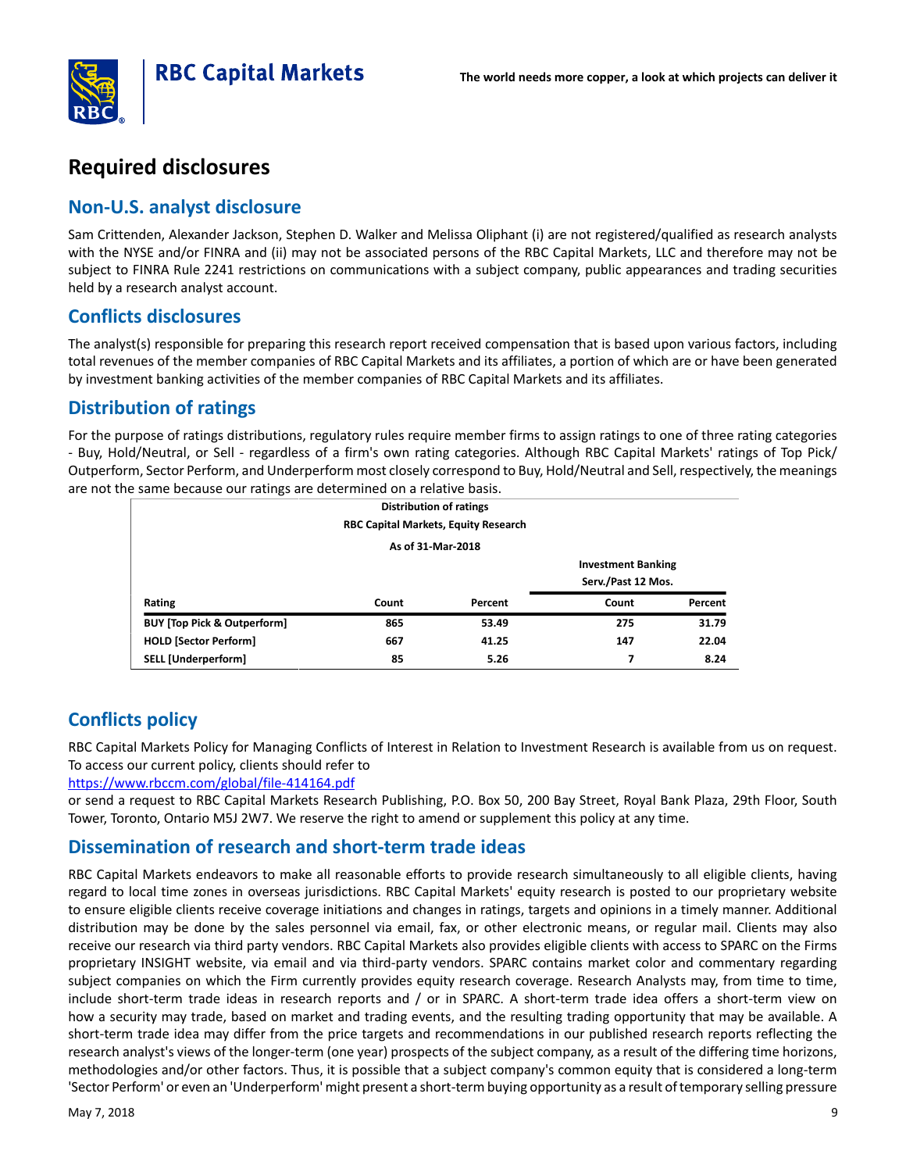



# **Required disclosures**

# **Non-U.S. analyst disclosure**

Sam Crittenden, Alexander Jackson, Stephen D. Walker and Melissa Oliphant (i) are not registered/qualified as research analysts with the NYSE and/or FINRA and (ii) may not be associated persons of the RBC Capital Markets, LLC and therefore may not be subject to FINRA Rule 2241 restrictions on communications with a subject company, public appearances and trading securities held by a research analyst account.

# **Conflicts disclosures**

The analyst(s) responsible for preparing this research report received compensation that is based upon various factors, including total revenues of the member companies of RBC Capital Markets and its affiliates, a portion of which are or have been generated by investment banking activities of the member companies of RBC Capital Markets and its affiliates.

# **Distribution of ratings**

For the purpose of ratings distributions, regulatory rules require member firms to assign ratings to one of three rating categories - Buy, Hold/Neutral, or Sell - regardless of a firm's own rating categories. Although RBC Capital Markets' ratings of Top Pick/ Outperform, Sector Perform, and Underperform most closely correspond to Buy, Hold/Neutral and Sell, respectively, the meanings are not the same because our ratings are determined on a relative basis.

| <b>Distribution of ratings</b>         |                                      |         |                           |         |  |  |  |  |  |
|----------------------------------------|--------------------------------------|---------|---------------------------|---------|--|--|--|--|--|
|                                        | RBC Capital Markets, Equity Research |         |                           |         |  |  |  |  |  |
|                                        | As of 31-Mar-2018                    |         |                           |         |  |  |  |  |  |
|                                        |                                      |         | <b>Investment Banking</b> |         |  |  |  |  |  |
|                                        |                                      |         | Serv./Past 12 Mos.        |         |  |  |  |  |  |
| Rating                                 | Count                                | Percent | Count                     | Percent |  |  |  |  |  |
| <b>BUY [Top Pick &amp; Outperform]</b> | 865                                  | 53.49   | 275                       | 31.79   |  |  |  |  |  |
| <b>HOLD [Sector Perform]</b>           | 667                                  | 41.25   | 147                       | 22.04   |  |  |  |  |  |
| SELL [Underperform]                    | 85                                   | 5.26    | 7                         | 8.24    |  |  |  |  |  |

# **Conflicts policy**

RBC Capital Markets Policy for Managing Conflicts of Interest in Relation to Investment Research is available from us on request. To access our current policy, clients should refer to

[https://www.rbccm.com/global/file-414164.pdf](https://www.rbccm.com/global/file-414164.pdf?)

or send a request to RBC Capital Markets Research Publishing, P.O. Box 50, 200 Bay Street, Royal Bank Plaza, 29th Floor, South Tower, Toronto, Ontario M5J 2W7. We reserve the right to amend or supplement this policy at any time.

# **Dissemination of research and short-term trade ideas**

RBC Capital Markets endeavors to make all reasonable efforts to provide research simultaneously to all eligible clients, having regard to local time zones in overseas jurisdictions. RBC Capital Markets' equity research is posted to our proprietary website to ensure eligible clients receive coverage initiations and changes in ratings, targets and opinions in a timely manner. Additional distribution may be done by the sales personnel via email, fax, or other electronic means, or regular mail. Clients may also receive our research via third party vendors. RBC Capital Markets also provides eligible clients with access to SPARC on the Firms proprietary INSIGHT website, via email and via third-party vendors. SPARC contains market color and commentary regarding subject companies on which the Firm currently provides equity research coverage. Research Analysts may, from time to time, include short-term trade ideas in research reports and / or in SPARC. A short-term trade idea offers a short-term view on how a security may trade, based on market and trading events, and the resulting trading opportunity that may be available. A short-term trade idea may differ from the price targets and recommendations in our published research reports reflecting the research analyst's views of the longer-term (one year) prospects of the subject company, as a result of the differing time horizons, methodologies and/or other factors. Thus, it is possible that a subject company's common equity that is considered a long-term 'Sector Perform' or even an 'Underperform' might present a short-term buying opportunity as a result of temporary selling pressure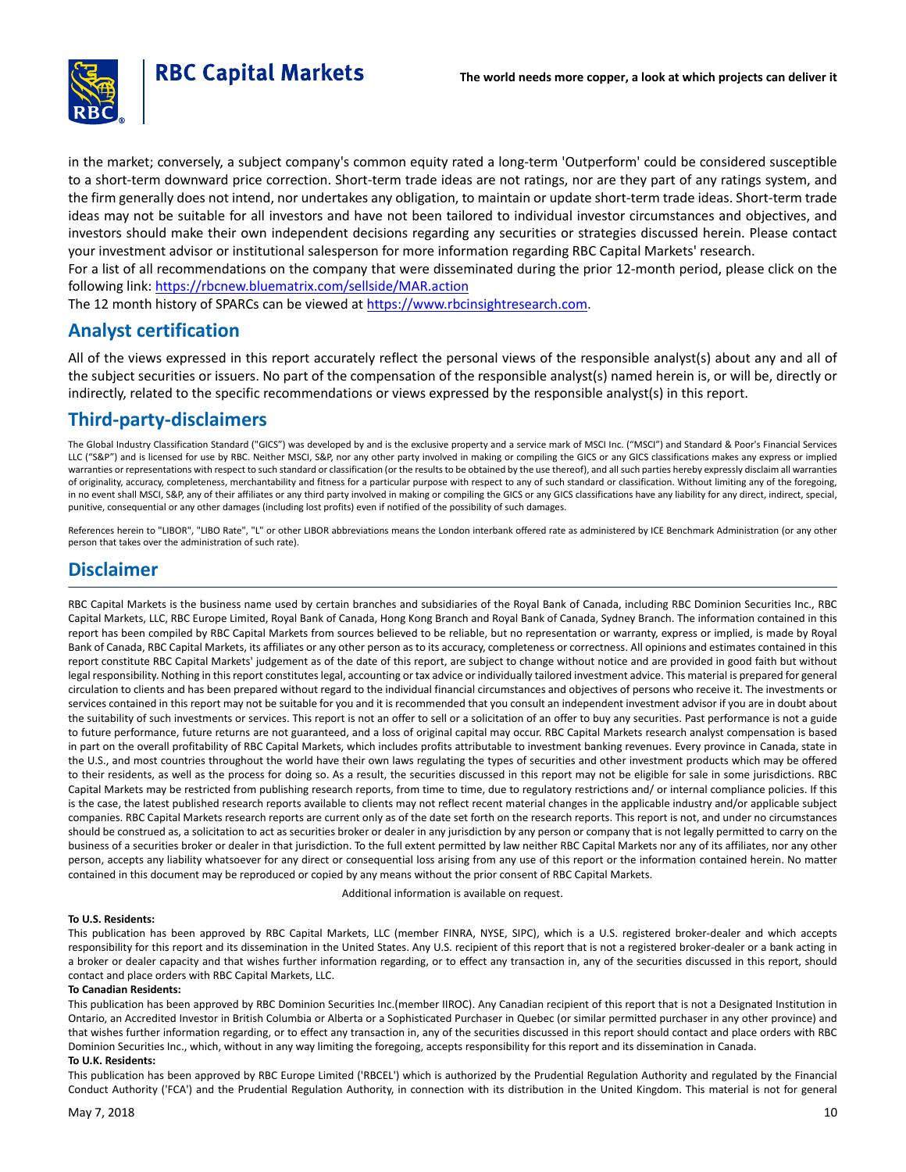

in the market; conversely, a subject company's common equity rated a long-term 'Outperform' could be considered susceptible to a short-term downward price correction. Short-term trade ideas are not ratings, nor are they part of any ratings system, and the firm generally does not intend, nor undertakes any obligation, to maintain or update short-term trade ideas. Short-term trade ideas may not be suitable for all investors and have not been tailored to individual investor circumstances and objectives, and investors should make their own independent decisions regarding any securities or strategies discussed herein. Please contact your investment advisor or institutional salesperson for more information regarding RBC Capital Markets' research.

For a list of all recommendations on the company that were disseminated during the prior 12-month period, please click on the following link: <https://rbcnew.bluematrix.com/sellside/MAR.action>

The 12 month history of SPARCs can be viewed at <https://www.rbcinsightresearch.com>.

### **Analyst certification**

All of the views expressed in this report accurately reflect the personal views of the responsible analyst(s) about any and all of the subject securities or issuers. No part of the compensation of the responsible analyst(s) named herein is, or will be, directly or indirectly, related to the specific recommendations or views expressed by the responsible analyst(s) in this report.

# **Third-party-disclaimers**

The Global Industry Classification Standard ("GICS") was developed by and is the exclusive property and a service mark of MSCI Inc. ("MSCI") and Standard & Poor's Financial Services LLC ("S&P") and is licensed for use by RBC. Neither MSCI, S&P, nor any other party involved in making or compiling the GICS or any GICS classifications makes any express or implied warranties or representations with respect to such standard or classification (or the results to be obtained by the use thereof), and all such parties hereby expressly disclaim all warranties of originality, accuracy, completeness, merchantability and fitness for a particular purpose with respect to any of such standard or classification. Without limiting any of the foregoing, in no event shall MSCI, S&P, any of their affiliates or any third party involved in making or compiling the GICS or any GICS classifications have any liability for any direct, indirect, special, punitive, consequential or any other damages (including lost profits) even if notified of the possibility of such damages.

References herein to "LIBOR", "LIBO Rate", "L" or other LIBOR abbreviations means the London interbank offered rate as administered by ICE Benchmark Administration (or any other person that takes over the administration of such rate).

### **Disclaimer**

RBC Capital Markets is the business name used by certain branches and subsidiaries of the Royal Bank of Canada, including RBC Dominion Securities Inc., RBC Capital Markets, LLC, RBC Europe Limited, Royal Bank of Canada, Hong Kong Branch and Royal Bank of Canada, Sydney Branch. The information contained in this report has been compiled by RBC Capital Markets from sources believed to be reliable, but no representation or warranty, express or implied, is made by Royal Bank of Canada, RBC Capital Markets, its affiliates or any other person as to its accuracy, completeness or correctness. All opinions and estimates contained in this report constitute RBC Capital Markets' judgement as of the date of this report, are subject to change without notice and are provided in good faith but without legal responsibility. Nothing in this report constitutes legal, accounting or tax advice or individually tailored investment advice. This material is prepared for general circulation to clients and has been prepared without regard to the individual financial circumstances and objectives of persons who receive it. The investments or services contained in this report may not be suitable for you and it is recommended that you consult an independent investment advisor if you are in doubt about the suitability of such investments or services. This report is not an offer to sell or a solicitation of an offer to buy any securities. Past performance is not a guide to future performance, future returns are not guaranteed, and a loss of original capital may occur. RBC Capital Markets research analyst compensation is based in part on the overall profitability of RBC Capital Markets, which includes profits attributable to investment banking revenues. Every province in Canada, state in the U.S., and most countries throughout the world have their own laws regulating the types of securities and other investment products which may be offered to their residents, as well as the process for doing so. As a result, the securities discussed in this report may not be eligible for sale in some jurisdictions. RBC Capital Markets may be restricted from publishing research reports, from time to time, due to regulatory restrictions and/ or internal compliance policies. If this is the case, the latest published research reports available to clients may not reflect recent material changes in the applicable industry and/or applicable subject companies. RBC Capital Markets research reports are current only as of the date set forth on the research reports. This report is not, and under no circumstances should be construed as, a solicitation to act as securities broker or dealer in any jurisdiction by any person or company that is not legally permitted to carry on the business of a securities broker or dealer in that jurisdiction. To the full extent permitted by law neither RBC Capital Markets nor any of its affiliates, nor any other person, accepts any liability whatsoever for any direct or consequential loss arising from any use of this report or the information contained herein. No matter contained in this document may be reproduced or copied by any means without the prior consent of RBC Capital Markets.

Additional information is available on request.

#### **To U.S. Residents:**

This publication has been approved by RBC Capital Markets, LLC (member FINRA, NYSE, SIPC), which is a U.S. registered broker-dealer and which accepts responsibility for this report and its dissemination in the United States. Any U.S. recipient of this report that is not a registered broker-dealer or a bank acting in a broker or dealer capacity and that wishes further information regarding, or to effect any transaction in, any of the securities discussed in this report, should contact and place orders with RBC Capital Markets, LLC.

#### **To Canadian Residents:**

This publication has been approved by RBC Dominion Securities Inc.(member IIROC). Any Canadian recipient of this report that is not a Designated Institution in Ontario, an Accredited Investor in British Columbia or Alberta or a Sophisticated Purchaser in Quebec (or similar permitted purchaser in any other province) and that wishes further information regarding, or to effect any transaction in, any of the securities discussed in this report should contact and place orders with RBC Dominion Securities Inc., which, without in any way limiting the foregoing, accepts responsibility for this report and its dissemination in Canada. **To U.K. Residents:**

This publication has been approved by RBC Europe Limited ('RBCEL') which is authorized by the Prudential Regulation Authority and regulated by the Financial Conduct Authority ('FCA') and the Prudential Regulation Authority, in connection with its distribution in the United Kingdom. This material is not for general